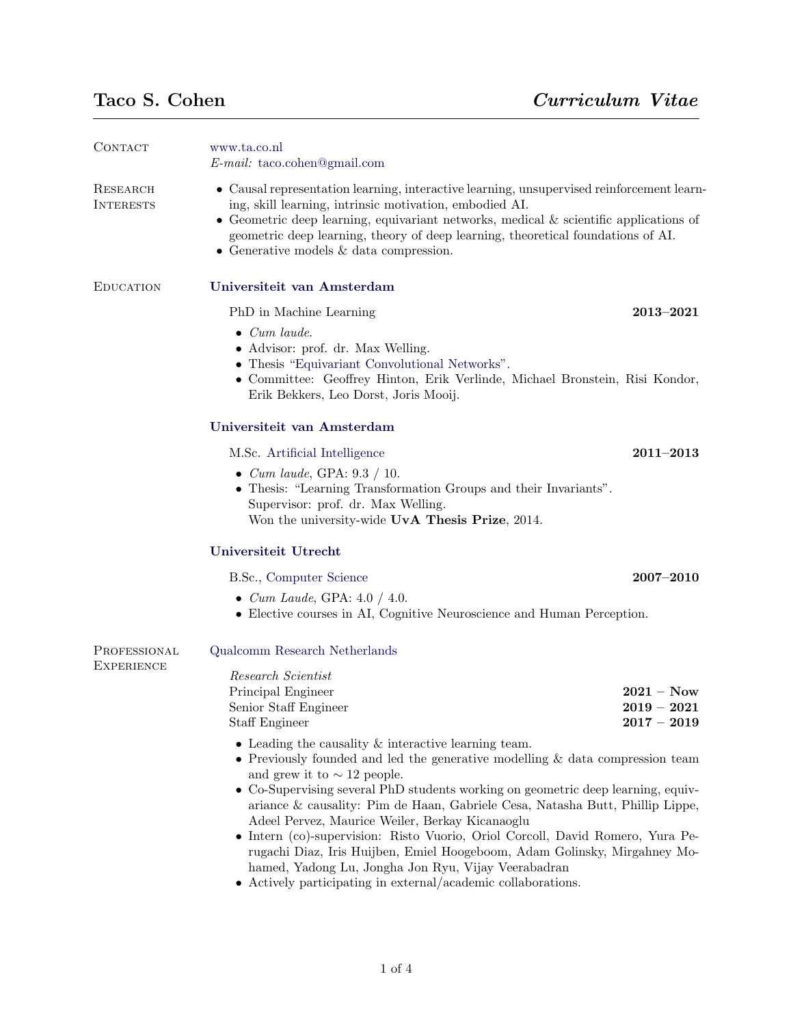| CONTACT                           | www.ta.co.nl<br>$E$ -mail: taco.cohen@gmail.com                                                                                                                                                                                                                                                                                                                                                                                                                                                                                                                                                                                                                                                          |                                                |
|-----------------------------------|----------------------------------------------------------------------------------------------------------------------------------------------------------------------------------------------------------------------------------------------------------------------------------------------------------------------------------------------------------------------------------------------------------------------------------------------------------------------------------------------------------------------------------------------------------------------------------------------------------------------------------------------------------------------------------------------------------|------------------------------------------------|
| RESEARCH<br><b>INTERESTS</b>      | • Causal representation learning, interactive learning, unsupervised reinforcement learn-<br>ing, skill learning, intrinsic motivation, embodied AI.<br>• Geometric deep learning, equivariant networks, medical $\&$ scientific applications of<br>geometric deep learning, theory of deep learning, theoretical foundations of AI.<br>• Generative models $&$ data compression.                                                                                                                                                                                                                                                                                                                        |                                                |
| <b>EDUCATION</b>                  | Universiteit van Amsterdam                                                                                                                                                                                                                                                                                                                                                                                                                                                                                                                                                                                                                                                                               |                                                |
|                                   | PhD in Machine Learning                                                                                                                                                                                                                                                                                                                                                                                                                                                                                                                                                                                                                                                                                  | $2013 - 2021$                                  |
|                                   | $\bullet$ Cum laude.<br>• Advisor: prof. dr. Max Welling.<br>• Thesis "Equivariant Convolutional Networks".<br>• Committee: Geoffrey Hinton, Erik Verlinde, Michael Bronstein, Risi Kondor,<br>Erik Bekkers, Leo Dorst, Joris Mooij.                                                                                                                                                                                                                                                                                                                                                                                                                                                                     |                                                |
|                                   | Universiteit van Amsterdam                                                                                                                                                                                                                                                                                                                                                                                                                                                                                                                                                                                                                                                                               |                                                |
|                                   | M.Sc. Artificial Intelligence                                                                                                                                                                                                                                                                                                                                                                                                                                                                                                                                                                                                                                                                            | $2011 - 2013$                                  |
|                                   | • Cum laude, GPA: $9.3 / 10$ .<br>• Thesis: "Learning Transformation Groups and their Invariants".<br>Supervisor: prof. dr. Max Welling.<br>Won the university-wide UvA Thesis Prize, 2014.                                                                                                                                                                                                                                                                                                                                                                                                                                                                                                              |                                                |
|                                   | Universiteit Utrecht                                                                                                                                                                                                                                                                                                                                                                                                                                                                                                                                                                                                                                                                                     |                                                |
|                                   | B.Sc., Computer Science                                                                                                                                                                                                                                                                                                                                                                                                                                                                                                                                                                                                                                                                                  | $2007 - 2010$                                  |
|                                   | • <i>Cum Laude</i> , GPA: $4.0 / 4.0$ .<br>• Elective courses in AI, Cognitive Neuroscience and Human Perception.                                                                                                                                                                                                                                                                                                                                                                                                                                                                                                                                                                                        |                                                |
| PROFESSIONAL<br><b>EXPERIENCE</b> | Qualcomm Research Netherlands                                                                                                                                                                                                                                                                                                                                                                                                                                                                                                                                                                                                                                                                            |                                                |
|                                   | Research Scientist<br>Principal Engineer<br>Senior Staff Engineer<br>Staff Engineer                                                                                                                                                                                                                                                                                                                                                                                                                                                                                                                                                                                                                      | $2021 - Now$<br>$2019 - 2021$<br>$2017 - 2019$ |
|                                   | $\bullet$ Leading the causality & interactive learning team.<br>$\bullet$ Previously founded and led the generative modelling & data compression team<br>and grew it to $\sim$ 12 people.<br>• Co-Supervising several PhD students working on geometric deep learning, equiv-<br>ariance & causality: Pim de Haan, Gabriele Cesa, Natasha Butt, Phillip Lippe,<br>Adeel Pervez, Maurice Weiler, Berkay Kicanaoglu<br>• Intern (co)-supervision: Risto Vuorio, Oriol Corcoll, David Romero, Yura Pe-<br>rugachi Diaz, Iris Huijben, Emiel Hoogeboom, Adam Golinsky, Mirgahney Mo-<br>hamed, Yadong Lu, Jongha Jon Ryu, Vijay Veerabadran<br>• Actively participating in external/academic collaborations. |                                                |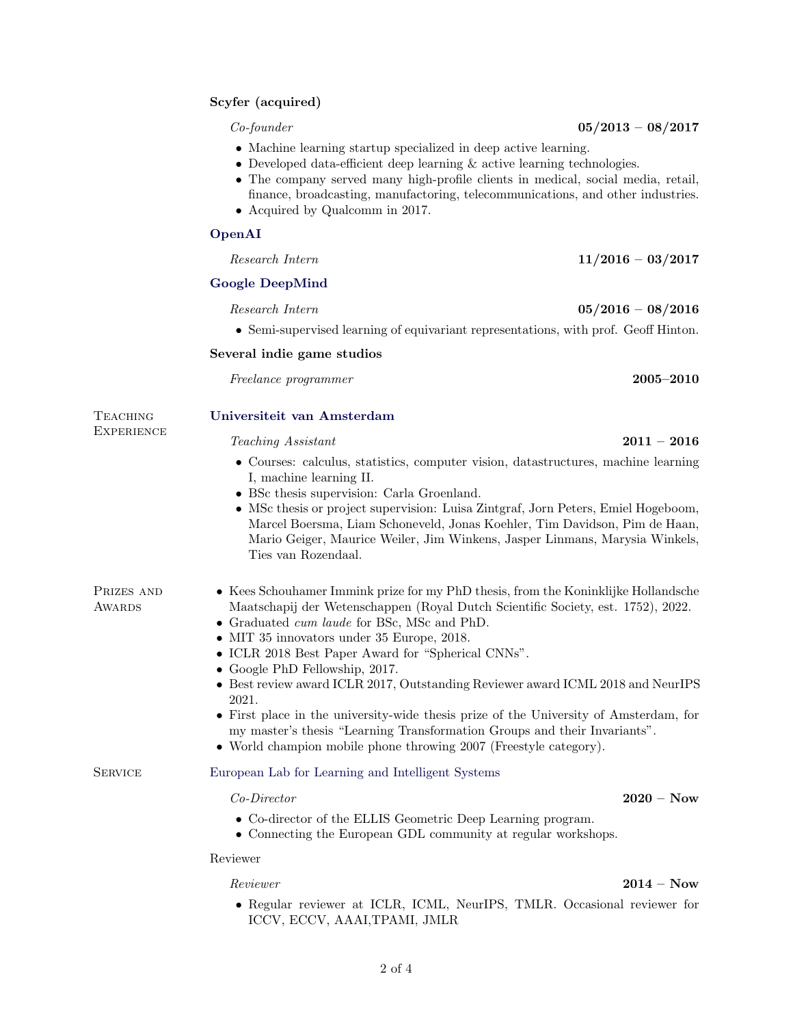## Scyfer (acquired)

- Machine learning startup specialized in deep active learning.
- Developed data-efficient deep learning & active learning technologies.
- The company served many high-profile clients in medical, social media, retail, finance, broadcasting, manufactoring, telecommunications, and other industries.
- Acquired by Qualcomm in 2017.

# [OpenAI](http://www.openai.com/)

| Research Intern | $11/2016 - 03/2017$ |
|-----------------|---------------------|
|                 |                     |

### [Google DeepMind](http://www.deepmind.com/)

 $Research Intern$   $05/2016 - 08/2016$ 

• Semi-supervised learning of equivariant representations, with prof. Geoff Hinton.

#### Several indie game studios

Freelance programmer 2005–2010

# Teaching [Universiteit van Amsterdam](http://www.uva.nl/)

#### $Teaching\ Assistant$  2011 – 2016

- Courses: calculus, statistics, computer vision, datastructures, machine learning I, machine learning II.
- BSc thesis supervision: Carla Groenland.
- MSc thesis or project supervision: Luisa Zintgraf, Jorn Peters, Emiel Hogeboom, Marcel Boersma, Liam Schoneveld, Jonas Koehler, Tim Davidson, Pim de Haan, Mario Geiger, Maurice Weiler, Jim Winkens, Jasper Linmans, Marysia Winkels, Ties van Rozendaal.

| PRIZES AND | • Kees Schouhamer Immink prize for my PhD thesis, from the Koninklijke Hollandsche |
|------------|------------------------------------------------------------------------------------|
| AWARDS     | Maatschapij der Wetenschappen (Royal Dutch Scientific Society, est. 1752), 2022.   |

- Graduated *cum laude* for BSc, MSc and PhD.
- MIT 35 innovators under 35 Europe, 2018.
- ICLR 2018 Best Paper Award for "Spherical CNNs".
- Google PhD Fellowship, 2017.
- Best review award ICLR 2017, Outstanding Reviewer award ICML 2018 and NeurIPS 2021.
- First place in the university-wide thesis prize of the University of Amsterdam, for my master's thesis "Learning Transformation Groups and their Invariants".
- World champion mobile phone throwing 2007 (Freestyle category).

SERVICE [European Lab for Learning and Intelligent Systems](https://ellis.eu/programs/geometric-deep-learning)

**EXPERIENCE** 

#### Co-Director 2020 – Now

- Co-director of the ELLIS Geometric Deep Learning program.
- Connecting the European GDL community at regular workshops.

#### Reviewer

# Reviewer 2014 – Now 2004 – Now 2004 – Now 2004 – Now 2004 – Now 2004 – Now 2004 – Now 2004 – Now 2004 – Now 20

• Regular reviewer at ICLR, ICML, NeurIPS, TMLR. Occasional reviewer for ICCV, ECCV, AAAI,TPAMI, JMLR

 $Co\text{-}fourder$  05/2013 – 08/2017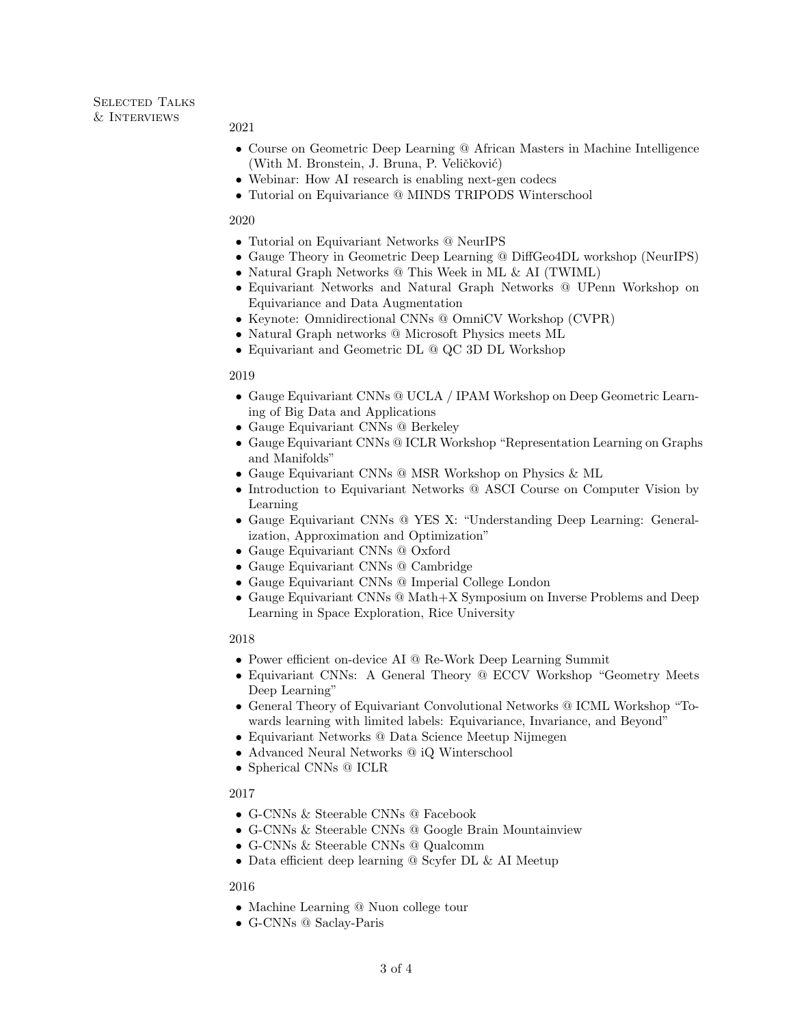#### 2021

- Course on Geometric Deep Learning @ African Masters in Machine Intelligence (With M. Bronstein, J. Bruna, P. Veličković)
- Webinar: How AI research is enabling next-gen codecs
- Tutorial on Equivariance @ MINDS TRIPODS Winterschool

#### 2020

- Tutorial on Equivariant Networks @ NeurIPS
- Gauge Theory in Geometric Deep Learning @ DiffGeo4DL workshop (NeurIPS)
- Natural Graph Networks @ This Week in ML & AI (TWIML)
- Equivariant Networks and Natural Graph Networks @ UPenn Workshop on Equivariance and Data Augmentation
- Keynote: Omnidirectional CNNs @ OmniCV Workshop (CVPR)
- Natural Graph networks @ Microsoft Physics meets ML
- Equivariant and Geometric DL @ QC 3D DL Workshop

### 2019

- Gauge Equivariant CNNs @ UCLA / IPAM Workshop on Deep Geometric Learning of Big Data and Applications
- Gauge Equivariant CNNs @ Berkeley
- Gauge Equivariant CNNs @ ICLR Workshop "Representation Learning on Graphs and Manifolds"
- Gauge Equivariant CNNs @ MSR Workshop on Physics & ML
- Introduction to Equivariant Networks @ ASCI Course on Computer Vision by Learning
- Gauge Equivariant CNNs @ YES X: "Understanding Deep Learning: Generalization, Approximation and Optimization"
- Gauge Equivariant CNNs @ Oxford
- Gauge Equivariant CNNs @ Cambridge
- Gauge Equivariant CNNs @ Imperial College London
- Gauge Equivariant CNNs @ Math+X Symposium on Inverse Problems and Deep Learning in Space Exploration, Rice University

### 2018

- Power efficient on-device AI @ Re-Work Deep Learning Summit
- Equivariant CNNs: A General Theory @ ECCV Workshop "Geometry Meets Deep Learning"
- General Theory of Equivariant Convolutional Networks @ ICML Workshop "Towards learning with limited labels: Equivariance, Invariance, and Beyond"
- Equivariant Networks @ Data Science Meetup Nijmegen
- Advanced Neural Networks @ iQ Winterschool
- Spherical CNNs @ ICLR

### 2017

- G-CNNs & Steerable CNNs @ Facebook
- G-CNNs & Steerable CNNs @ Google Brain Mountainview
- G-CNNs & Steerable CNNs @ Qualcomm
- Data efficient deep learning @ Scyfer DL & AI Meetup

### 2016

- Machine Learning @ Nuon college tour
- G-CNNs @ Saclay-Paris